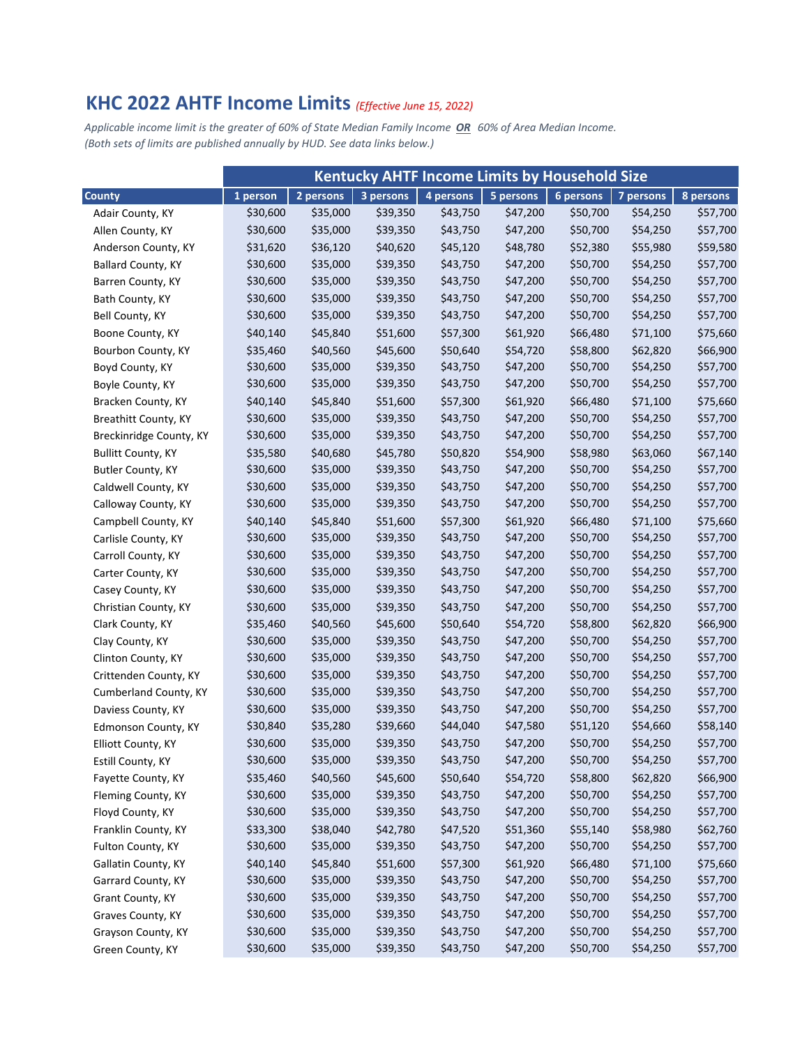## **KHC 2022 AHTF Income Limits** *(Effective June 15, 2022)*

Applicable income limit is the greater of 60% of State Median Family Income OR 60% of Area Median Income. *(Both sets of limits are published annually by HUD. See data links below.)*

|                             | <b>Kentucky AHTF Income Limits by Household Size</b> |           |           |           |           |           |           |           |
|-----------------------------|------------------------------------------------------|-----------|-----------|-----------|-----------|-----------|-----------|-----------|
| <b>County</b>               | 1 person                                             | 2 persons | 3 persons | 4 persons | 5 persons | 6 persons | 7 persons | 8 persons |
| Adair County, KY            | \$30,600                                             | \$35,000  | \$39,350  | \$43,750  | \$47,200  | \$50,700  | \$54,250  | \$57,700  |
| Allen County, KY            | \$30,600                                             | \$35,000  | \$39,350  | \$43,750  | \$47,200  | \$50,700  | \$54,250  | \$57,700  |
| Anderson County, KY         | \$31,620                                             | \$36,120  | \$40,620  | \$45,120  | \$48,780  | \$52,380  | \$55,980  | \$59,580  |
| <b>Ballard County, KY</b>   | \$30,600                                             | \$35,000  | \$39,350  | \$43,750  | \$47,200  | \$50,700  | \$54,250  | \$57,700  |
| Barren County, KY           | \$30,600                                             | \$35,000  | \$39,350  | \$43,750  | \$47,200  | \$50,700  | \$54,250  | \$57,700  |
| Bath County, KY             | \$30,600                                             | \$35,000  | \$39,350  | \$43,750  | \$47,200  | \$50,700  | \$54,250  | \$57,700  |
| Bell County, KY             | \$30,600                                             | \$35,000  | \$39,350  | \$43,750  | \$47,200  | \$50,700  | \$54,250  | \$57,700  |
| Boone County, KY            | \$40,140                                             | \$45,840  | \$51,600  | \$57,300  | \$61,920  | \$66,480  | \$71,100  | \$75,660  |
| Bourbon County, KY          | \$35,460                                             | \$40,560  | \$45,600  | \$50,640  | \$54,720  | \$58,800  | \$62,820  | \$66,900  |
| Boyd County, KY             | \$30,600                                             | \$35,000  | \$39,350  | \$43,750  | \$47,200  | \$50,700  | \$54,250  | \$57,700  |
| Boyle County, KY            | \$30,600                                             | \$35,000  | \$39,350  | \$43,750  | \$47,200  | \$50,700  | \$54,250  | \$57,700  |
| Bracken County, KY          | \$40,140                                             | \$45,840  | \$51,600  | \$57,300  | \$61,920  | \$66,480  | \$71,100  | \$75,660  |
| <b>Breathitt County, KY</b> | \$30,600                                             | \$35,000  | \$39,350  | \$43,750  | \$47,200  | \$50,700  | \$54,250  | \$57,700  |
| Breckinridge County, KY     | \$30,600                                             | \$35,000  | \$39,350  | \$43,750  | \$47,200  | \$50,700  | \$54,250  | \$57,700  |
| <b>Bullitt County, KY</b>   | \$35,580                                             | \$40,680  | \$45,780  | \$50,820  | \$54,900  | \$58,980  | \$63,060  | \$67,140  |
| Butler County, KY           | \$30,600                                             | \$35,000  | \$39,350  | \$43,750  | \$47,200  | \$50,700  | \$54,250  | \$57,700  |
| Caldwell County, KY         | \$30,600                                             | \$35,000  | \$39,350  | \$43,750  | \$47,200  | \$50,700  | \$54,250  | \$57,700  |
| Calloway County, KY         | \$30,600                                             | \$35,000  | \$39,350  | \$43,750  | \$47,200  | \$50,700  | \$54,250  | \$57,700  |
| Campbell County, KY         | \$40,140                                             | \$45,840  | \$51,600  | \$57,300  | \$61,920  | \$66,480  | \$71,100  | \$75,660  |
| Carlisle County, KY         | \$30,600                                             | \$35,000  | \$39,350  | \$43,750  | \$47,200  | \$50,700  | \$54,250  | \$57,700  |
| Carroll County, KY          | \$30,600                                             | \$35,000  | \$39,350  | \$43,750  | \$47,200  | \$50,700  | \$54,250  | \$57,700  |
| Carter County, KY           | \$30,600                                             | \$35,000  | \$39,350  | \$43,750  | \$47,200  | \$50,700  | \$54,250  | \$57,700  |
| Casey County, KY            | \$30,600                                             | \$35,000  | \$39,350  | \$43,750  | \$47,200  | \$50,700  | \$54,250  | \$57,700  |
| Christian County, KY        | \$30,600                                             | \$35,000  | \$39,350  | \$43,750  | \$47,200  | \$50,700  | \$54,250  | \$57,700  |
| Clark County, KY            | \$35,460                                             | \$40,560  | \$45,600  | \$50,640  | \$54,720  | \$58,800  | \$62,820  | \$66,900  |
| Clay County, KY             | \$30,600                                             | \$35,000  | \$39,350  | \$43,750  | \$47,200  | \$50,700  | \$54,250  | \$57,700  |
| Clinton County, KY          | \$30,600                                             | \$35,000  | \$39,350  | \$43,750  | \$47,200  | \$50,700  | \$54,250  | \$57,700  |
| Crittenden County, KY       | \$30,600                                             | \$35,000  | \$39,350  | \$43,750  | \$47,200  | \$50,700  | \$54,250  | \$57,700  |
| Cumberland County, KY       | \$30,600                                             | \$35,000  | \$39,350  | \$43,750  | \$47,200  | \$50,700  | \$54,250  | \$57,700  |
| Daviess County, KY          | \$30,600                                             | \$35,000  | \$39,350  | \$43,750  | \$47,200  | \$50,700  | \$54,250  | \$57,700  |
| Edmonson County, KY         | \$30,840                                             | \$35,280  | \$39,660  | \$44,040  | \$47,580  | \$51,120  | \$54,660  | \$58,140  |
| Elliott County, KY          | \$30,600                                             | \$35,000  | \$39,350  | \$43,750  | \$47,200  | \$50,700  | \$54,250  | \$57,700  |
| Estill County, KY           | \$30,600                                             | \$35,000  | \$39,350  | \$43,750  | \$47,200  | \$50,700  | \$54,250  | \$57,700  |
| Fayette County, KY          | \$35,460                                             | \$40,560  | \$45,600  | \$50,640  | \$54,720  | \$58,800  | \$62,820  | \$66,900  |
| Fleming County, KY          | \$30,600                                             | \$35,000  | \$39,350  | \$43,750  | \$47,200  | \$50,700  | \$54,250  | \$57,700  |
| Floyd County, KY            | \$30,600                                             | \$35,000  | \$39,350  | \$43,750  | \$47,200  | \$50,700  | \$54,250  | \$57,700  |
| Franklin County, KY         | \$33,300                                             | \$38,040  | \$42,780  | \$47,520  | \$51,360  | \$55,140  | \$58,980  | \$62,760  |
| Fulton County, KY           | \$30,600                                             | \$35,000  | \$39,350  | \$43,750  | \$47,200  | \$50,700  | \$54,250  | \$57,700  |
| Gallatin County, KY         | \$40,140                                             | \$45,840  | \$51,600  | \$57,300  | \$61,920  | \$66,480  | \$71,100  | \$75,660  |
| Garrard County, KY          | \$30,600                                             | \$35,000  | \$39,350  | \$43,750  | \$47,200  | \$50,700  | \$54,250  | \$57,700  |
| Grant County, KY            | \$30,600                                             | \$35,000  | \$39,350  | \$43,750  | \$47,200  | \$50,700  | \$54,250  | \$57,700  |
| Graves County, KY           | \$30,600                                             | \$35,000  | \$39,350  | \$43,750  | \$47,200  | \$50,700  | \$54,250  | \$57,700  |
| Grayson County, KY          | \$30,600                                             | \$35,000  | \$39,350  | \$43,750  | \$47,200  | \$50,700  | \$54,250  | \$57,700  |
| Green County, KY            | \$30,600                                             | \$35,000  | \$39,350  | \$43,750  | \$47,200  | \$50,700  | \$54,250  | \$57,700  |
|                             |                                                      |           |           |           |           |           |           |           |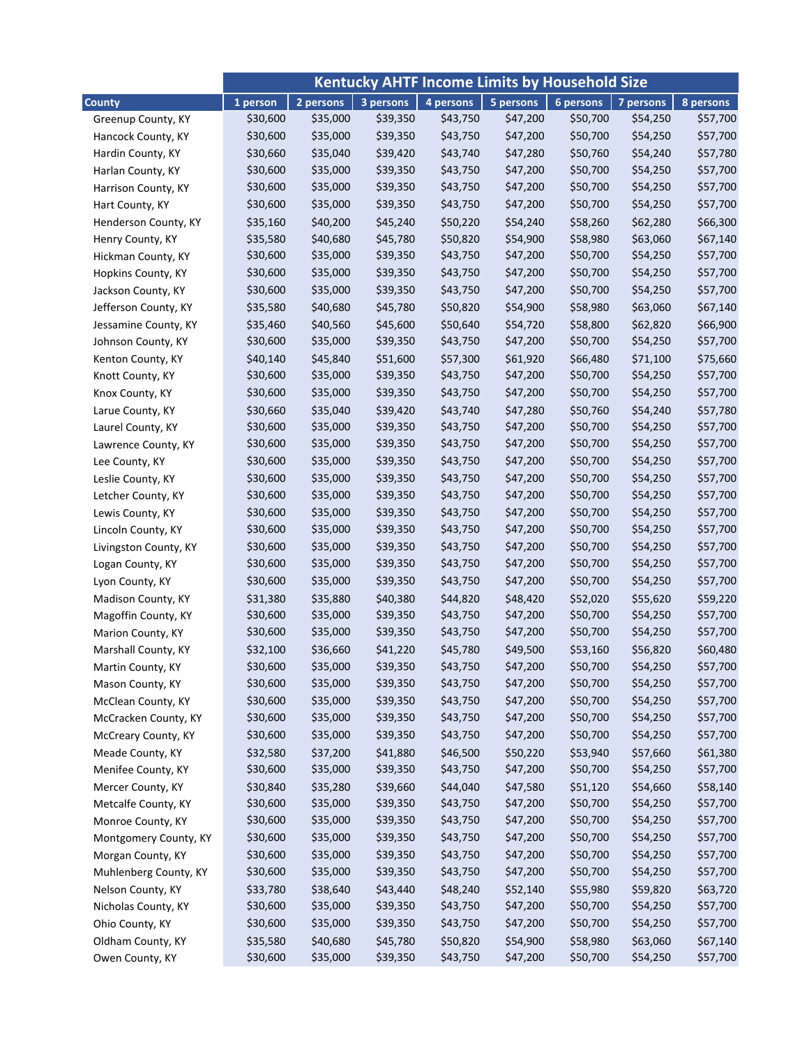|                       | <b>Kentucky AHTF Income Limits by Household Size</b> |           |           |           |           |           |           |           |
|-----------------------|------------------------------------------------------|-----------|-----------|-----------|-----------|-----------|-----------|-----------|
| <b>County</b>         | 1 person                                             | 2 persons | 3 persons | 4 persons | 5 persons | 6 persons | 7 persons | 8 persons |
| Greenup County, KY    | \$30,600                                             | \$35,000  | \$39,350  | \$43,750  | \$47,200  | \$50,700  | \$54,250  | \$57,700  |
| Hancock County, KY    | \$30,600                                             | \$35,000  | \$39,350  | \$43,750  | \$47,200  | \$50,700  | \$54,250  | \$57,700  |
| Hardin County, KY     | \$30,660                                             | \$35,040  | \$39,420  | \$43,740  | \$47,280  | \$50,760  | \$54,240  | \$57,780  |
| Harlan County, KY     | \$30,600                                             | \$35,000  | \$39,350  | \$43,750  | \$47,200  | \$50,700  | \$54,250  | \$57,700  |
| Harrison County, KY   | \$30,600                                             | \$35,000  | \$39,350  | \$43,750  | \$47,200  | \$50,700  | \$54,250  | \$57,700  |
| Hart County, KY       | \$30,600                                             | \$35,000  | \$39,350  | \$43,750  | \$47,200  | \$50,700  | \$54,250  | \$57,700  |
| Henderson County, KY  | \$35,160                                             | \$40,200  | \$45,240  | \$50,220  | \$54,240  | \$58,260  | \$62,280  | \$66,300  |
| Henry County, KY      | \$35,580                                             | \$40,680  | \$45,780  | \$50,820  | \$54,900  | \$58,980  | \$63,060  | \$67,140  |
| Hickman County, KY    | \$30,600                                             | \$35,000  | \$39,350  | \$43,750  | \$47,200  | \$50,700  | \$54,250  | \$57,700  |
| Hopkins County, KY    | \$30,600                                             | \$35,000  | \$39,350  | \$43,750  | \$47,200  | \$50,700  | \$54,250  | \$57,700  |
| Jackson County, KY    | \$30,600                                             | \$35,000  | \$39,350  | \$43,750  | \$47,200  | \$50,700  | \$54,250  | \$57,700  |
| Jefferson County, KY  | \$35,580                                             | \$40,680  | \$45,780  | \$50,820  | \$54,900  | \$58,980  | \$63,060  | \$67,140  |
| Jessamine County, KY  | \$35,460                                             | \$40,560  | \$45,600  | \$50,640  | \$54,720  | \$58,800  | \$62,820  | \$66,900  |
| Johnson County, KY    | \$30,600                                             | \$35,000  | \$39,350  | \$43,750  | \$47,200  | \$50,700  | \$54,250  | \$57,700  |
| Kenton County, KY     | \$40,140                                             | \$45,840  | \$51,600  | \$57,300  | \$61,920  | \$66,480  | \$71,100  | \$75,660  |
| Knott County, KY      | \$30,600                                             | \$35,000  | \$39,350  | \$43,750  | \$47,200  | \$50,700  | \$54,250  | \$57,700  |
| Knox County, KY       | \$30,600                                             | \$35,000  | \$39,350  | \$43,750  | \$47,200  | \$50,700  | \$54,250  | \$57,700  |
| Larue County, KY      | \$30,660                                             | \$35,040  | \$39,420  | \$43,740  | \$47,280  | \$50,760  | \$54,240  | \$57,780  |
| Laurel County, KY     | \$30,600                                             | \$35,000  | \$39,350  | \$43,750  | \$47,200  | \$50,700  | \$54,250  | \$57,700  |
| Lawrence County, KY   | \$30,600                                             | \$35,000  | \$39,350  | \$43,750  | \$47,200  | \$50,700  | \$54,250  | \$57,700  |
| Lee County, KY        | \$30,600                                             | \$35,000  | \$39,350  | \$43,750  | \$47,200  | \$50,700  | \$54,250  | \$57,700  |
| Leslie County, KY     | \$30,600                                             | \$35,000  | \$39,350  | \$43,750  | \$47,200  | \$50,700  | \$54,250  | \$57,700  |
| Letcher County, KY    | \$30,600                                             | \$35,000  | \$39,350  | \$43,750  | \$47,200  | \$50,700  | \$54,250  | \$57,700  |
| Lewis County, KY      | \$30,600                                             | \$35,000  | \$39,350  | \$43,750  | \$47,200  | \$50,700  | \$54,250  | \$57,700  |
| Lincoln County, KY    | \$30,600                                             | \$35,000  | \$39,350  | \$43,750  | \$47,200  | \$50,700  | \$54,250  | \$57,700  |
| Livingston County, KY | \$30,600                                             | \$35,000  | \$39,350  | \$43,750  | \$47,200  | \$50,700  | \$54,250  | \$57,700  |
| Logan County, KY      | \$30,600                                             | \$35,000  | \$39,350  | \$43,750  | \$47,200  | \$50,700  | \$54,250  | \$57,700  |
| Lyon County, KY       | \$30,600                                             | \$35,000  | \$39,350  | \$43,750  | \$47,200  | \$50,700  | \$54,250  | \$57,700  |
| Madison County, KY    | \$31,380                                             | \$35,880  | \$40,380  | \$44,820  | \$48,420  | \$52,020  | \$55,620  | \$59,220  |
| Magoffin County, KY   | \$30,600                                             | \$35,000  | \$39,350  | \$43,750  | \$47,200  | \$50,700  | \$54,250  | \$57,700  |
| Marion County, KY     | \$30,600                                             | \$35,000  | \$39,350  | \$43,750  | \$47,200  | \$50,700  | \$54,250  | \$57,700  |
| Marshall County, KY   | \$32,100                                             | \$36,660  | \$41,220  | \$45,780  | \$49,500  | \$53,160  | \$56,820  | \$60,480  |
| Martin County, KY     | \$30,600                                             | \$35,000  | \$39,350  | \$43,750  | \$47,200  | \$50,700  | \$54,250  | \$57,700  |
| Mason County, KY      | \$30,600                                             | \$35,000  | \$39,350  | \$43,750  | \$47,200  | \$50,700  | \$54,250  | \$57,700  |
| McClean County, KY    | \$30,600                                             | \$35,000  | \$39,350  | \$43,750  | \$47,200  | \$50,700  | \$54,250  | \$57,700  |
| McCracken County, KY  | \$30,600                                             | \$35,000  | \$39,350  | \$43,750  | \$47,200  | \$50,700  | \$54,250  | \$57,700  |
| McCreary County, KY   | \$30,600                                             | \$35,000  | \$39,350  | \$43,750  | \$47,200  | \$50,700  | \$54,250  | \$57,700  |
| Meade County, KY      | \$32,580                                             | \$37,200  | \$41,880  | \$46,500  | \$50,220  | \$53,940  | \$57,660  | \$61,380  |
| Menifee County, KY    | \$30,600                                             | \$35,000  | \$39,350  | \$43,750  | \$47,200  | \$50,700  | \$54,250  | \$57,700  |
| Mercer County, KY     | \$30,840                                             | \$35,280  | \$39,660  | \$44,040  | \$47,580  | \$51,120  | \$54,660  | \$58,140  |
| Metcalfe County, KY   | \$30,600                                             | \$35,000  | \$39,350  | \$43,750  | \$47,200  | \$50,700  | \$54,250  | \$57,700  |
| Monroe County, KY     | \$30,600                                             | \$35,000  | \$39,350  | \$43,750  | \$47,200  | \$50,700  | \$54,250  | \$57,700  |
| Montgomery County, KY | \$30,600                                             | \$35,000  | \$39,350  | \$43,750  | \$47,200  | \$50,700  | \$54,250  | \$57,700  |
| Morgan County, KY     | \$30,600                                             | \$35,000  | \$39,350  | \$43,750  | \$47,200  | \$50,700  | \$54,250  | \$57,700  |
| Muhlenberg County, KY | \$30,600                                             | \$35,000  | \$39,350  | \$43,750  | \$47,200  | \$50,700  | \$54,250  | \$57,700  |
| Nelson County, KY     | \$33,780                                             | \$38,640  | \$43,440  | \$48,240  | \$52,140  | \$55,980  | \$59,820  | \$63,720  |
| Nicholas County, KY   | \$30,600                                             | \$35,000  | \$39,350  | \$43,750  | \$47,200  | \$50,700  | \$54,250  | \$57,700  |
| Ohio County, KY       | \$30,600                                             | \$35,000  | \$39,350  | \$43,750  | \$47,200  | \$50,700  | \$54,250  | \$57,700  |
| Oldham County, KY     | \$35,580                                             | \$40,680  | \$45,780  | \$50,820  | \$54,900  | \$58,980  | \$63,060  | \$67,140  |
| Owen County, KY       | \$30,600                                             | \$35,000  | \$39,350  | \$43,750  | \$47,200  | \$50,700  | \$54,250  | \$57,700  |